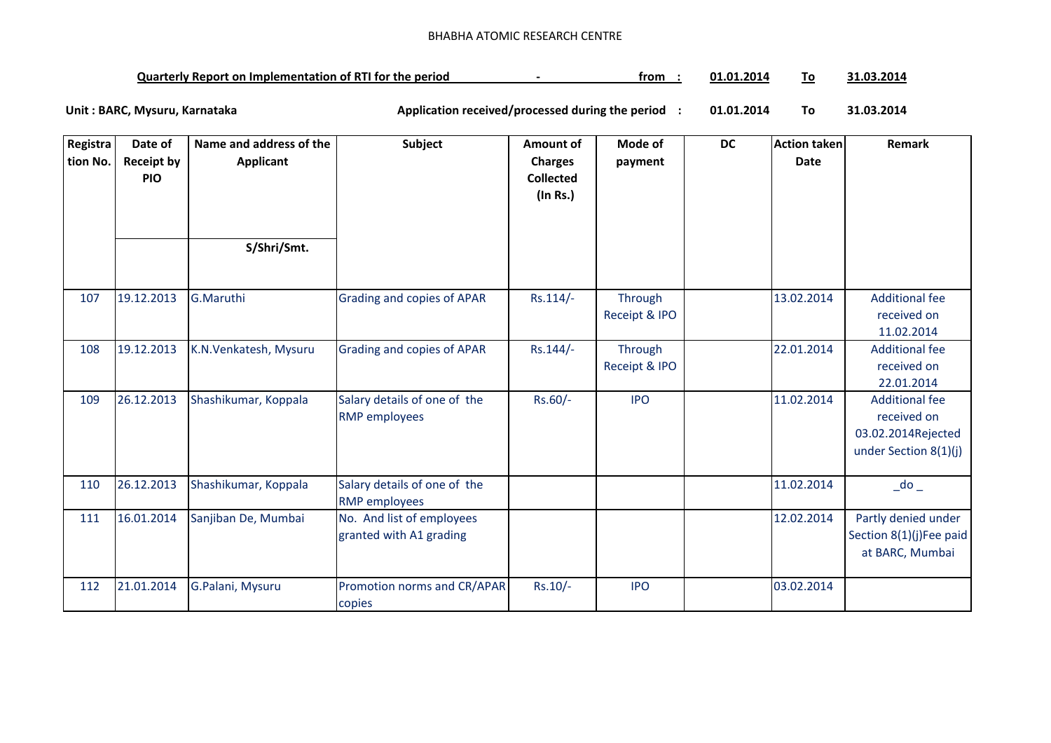## BHABHA ATOMIC RESEARCH CENTRE

| <b>Quarterly Report on Implementation of RTI for the period</b> |  | trom | 01.01.2014 | Го | .03.2014 |
|-----------------------------------------------------------------|--|------|------------|----|----------|
|-----------------------------------------------------------------|--|------|------------|----|----------|

**01.01.2014 To 31.03.2014** Unit : BARC, Mysuru, Karnataka **Alexander State and Application received/processed during the period** :

| Registra<br>tion No. | Date of<br><b>Receipt by</b><br><b>PIO</b> | Name and address of the<br><b>Applicant</b> | Subject                                              | Amount of<br><b>Charges</b><br><b>Collected</b><br>(In Rs.) | Mode of<br>payment       | <b>DC</b> | <b>Action taken</b><br>Date | Remark                                                                              |
|----------------------|--------------------------------------------|---------------------------------------------|------------------------------------------------------|-------------------------------------------------------------|--------------------------|-----------|-----------------------------|-------------------------------------------------------------------------------------|
|                      |                                            | S/Shri/Smt.                                 |                                                      |                                                             |                          |           |                             |                                                                                     |
| 107                  | 19.12.2013                                 | G.Maruthi                                   | Grading and copies of APAR                           | $Rs.114/-$                                                  | Through<br>Receipt & IPO |           | 13.02.2014                  | <b>Additional fee</b><br>received on<br>11.02.2014                                  |
| 108                  | 19.12.2013                                 | K.N.Venkatesh, Mysuru                       | Grading and copies of APAR                           | $Rs.144/-$                                                  | Through<br>Receipt & IPO |           | 22.01.2014                  | <b>Additional fee</b><br>received on<br>22.01.2014                                  |
| 109                  | 26.12.2013                                 | Shashikumar, Koppala                        | Salary details of one of the<br><b>RMP</b> employees | Rs.60/-                                                     | <b>IPO</b>               |           | 11.02.2014                  | <b>Additional fee</b><br>received on<br>03.02.2014Rejected<br>under Section 8(1)(j) |
| 110                  | 26.12.2013                                 | Shashikumar, Koppala                        | Salary details of one of the<br><b>RMP</b> employees |                                                             |                          |           | 11.02.2014                  | $\overline{\phantom{a}}$ do $\overline{\phantom{a}}$                                |
| 111                  | 16.01.2014                                 | Sanjiban De, Mumbai                         | No. And list of employees<br>granted with A1 grading |                                                             |                          |           | 12.02.2014                  | Partly denied under<br>Section 8(1)(j)Fee paid<br>at BARC, Mumbai                   |
| 112                  | 21.01.2014                                 | G.Palani, Mysuru                            | Promotion norms and CR/APAR<br>copies                | $Rs.10/-$                                                   | <b>IPO</b>               |           | 03.02.2014                  |                                                                                     |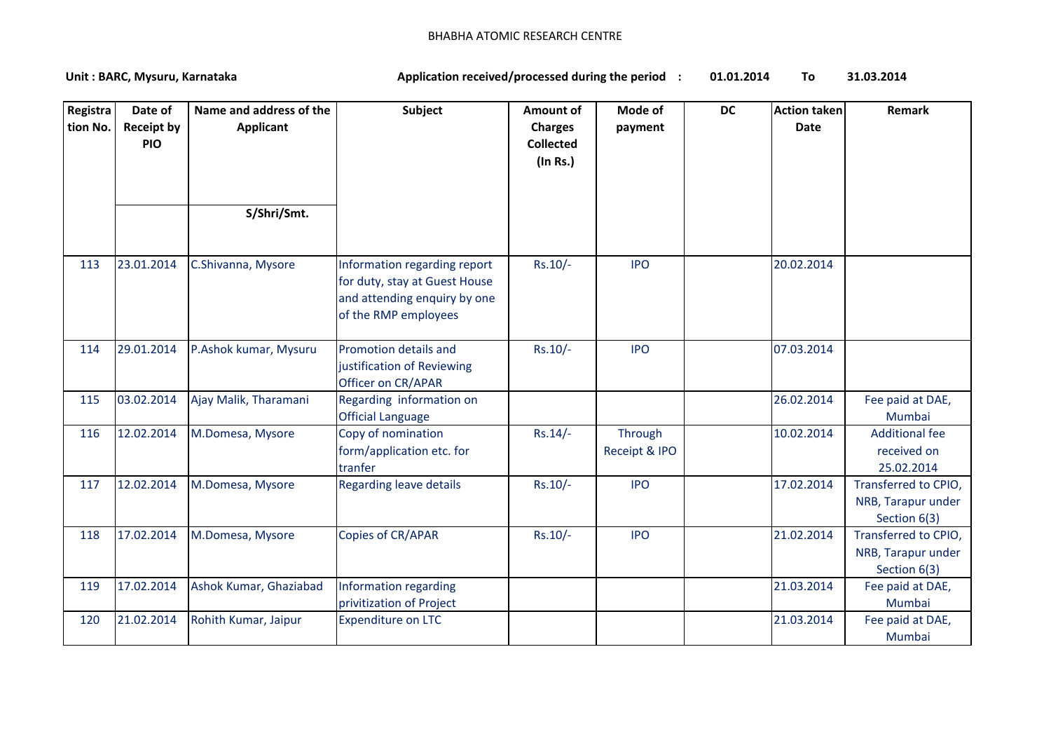## BHABHA ATOMIC RESEARCH CENTRE

**01.01.2014 To 31.03.2014** Unit : BARC, Mysuru, Karnataka **Alexander State and Application received/processed during the period** :

| Registra!<br>tion No. | Date of<br><b>Receipt by</b><br><b>PIO</b> | Name and address of the<br><b>Applicant</b><br>S/Shri/Smt. | <b>Subject</b>                                                                                                        | <b>Amount of</b><br><b>Charges</b><br><b>Collected</b><br>(In Rs.) | Mode of<br>payment       | <b>DC</b> | <b>Action taken</b><br><b>Date</b> | Remark                                                     |
|-----------------------|--------------------------------------------|------------------------------------------------------------|-----------------------------------------------------------------------------------------------------------------------|--------------------------------------------------------------------|--------------------------|-----------|------------------------------------|------------------------------------------------------------|
|                       |                                            |                                                            |                                                                                                                       |                                                                    |                          |           |                                    |                                                            |
| 113                   | 23.01.2014                                 | C.Shivanna, Mysore                                         | Information regarding report<br>for duty, stay at Guest House<br>and attending enquiry by one<br>of the RMP employees | $Rs.10/-$                                                          | <b>IPO</b>               |           | 20.02.2014                         |                                                            |
| 114                   | 29.01.2014                                 | P.Ashok kumar, Mysuru                                      | Promotion details and<br>justification of Reviewing<br>Officer on CR/APAR                                             | $Rs.10/-$                                                          | <b>IPO</b>               |           | 07.03.2014                         |                                                            |
| 115                   | 03.02.2014                                 | Ajay Malik, Tharamani                                      | Regarding information on<br><b>Official Language</b>                                                                  |                                                                    |                          |           | 26.02.2014                         | Fee paid at DAE,<br>Mumbai                                 |
| 116                   | 12.02.2014                                 | M.Domesa, Mysore                                           | Copy of nomination<br>form/application etc. for<br>tranfer                                                            | $Rs.14/-$                                                          | Through<br>Receipt & IPO |           | 10.02.2014                         | <b>Additional fee</b><br>received on<br>25.02.2014         |
| 117                   | 12.02.2014                                 | M.Domesa, Mysore                                           | <b>Regarding leave details</b>                                                                                        | $Rs.10/-$                                                          | <b>IPO</b>               |           | 17.02.2014                         | Transferred to CPIO,<br>NRB, Tarapur under<br>Section 6(3) |
| 118                   | 17.02.2014                                 | M.Domesa, Mysore                                           | Copies of CR/APAR                                                                                                     | $Rs.10/-$                                                          | <b>IPO</b>               |           | 21.02.2014                         | Transferred to CPIO,<br>NRB, Tarapur under<br>Section 6(3) |
| 119                   | 17.02.2014                                 | Ashok Kumar, Ghaziabad                                     | Information regarding<br>privitization of Project                                                                     |                                                                    |                          |           | 21.03.2014                         | Fee paid at DAE,<br>Mumbai                                 |
| 120                   | 21.02.2014                                 | Rohith Kumar, Jaipur                                       | <b>Expenditure on LTC</b>                                                                                             |                                                                    |                          |           | 21.03.2014                         | Fee paid at DAE,<br>Mumbai                                 |